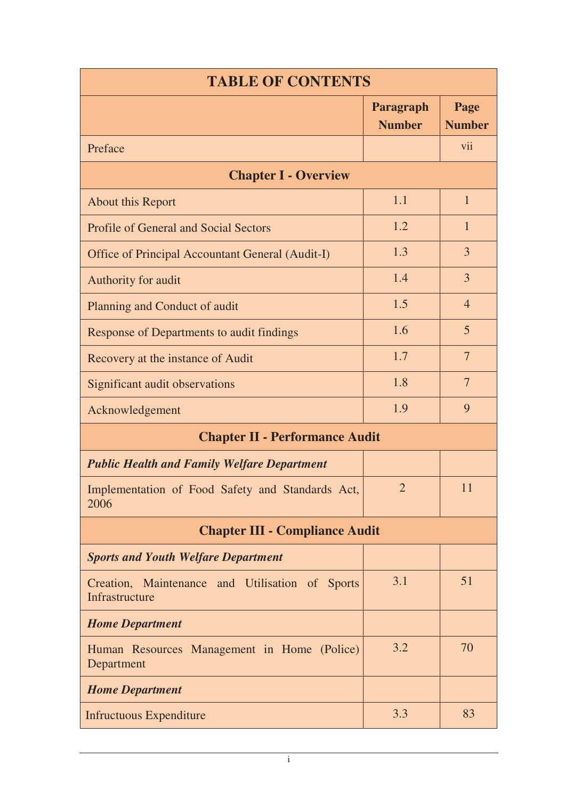| <b>TABLE OF CONTENTS</b>                                          |                            |                       |  |
|-------------------------------------------------------------------|----------------------------|-----------------------|--|
|                                                                   | Paragraph<br><b>Number</b> | Page<br><b>Number</b> |  |
| Preface                                                           |                            | vii                   |  |
| <b>Chapter I - Overview</b>                                       |                            |                       |  |
| About this Report                                                 | 1.1                        | $\mathbf{1}$          |  |
| <b>Profile of General and Social Sectors</b>                      | 1.2                        | $\mathbf{1}$          |  |
| Office of Principal Accountant General (Audit-I)                  | 1.3                        | $\overline{3}$        |  |
| Authority for audit                                               | 1.4                        | $\overline{3}$        |  |
| Planning and Conduct of audit                                     | 1.5                        | $\overline{4}$        |  |
| Response of Departments to audit findings                         | 1.6                        | 5                     |  |
| Recovery at the instance of Audit                                 | 1.7                        | $\overline{7}$        |  |
| Significant audit observations                                    | 1.8                        | $\overline{7}$        |  |
| Acknowledgement                                                   | 1.9                        | 9                     |  |
| <b>Chapter II - Performance Audit</b>                             |                            |                       |  |
| <b>Public Health and Family Welfare Department</b>                |                            |                       |  |
| Implementation of Food Safety and Standards Act,<br>2006          | $\overline{2}$             | 11                    |  |
| <b>Chapter III - Compliance Audit</b>                             |                            |                       |  |
| <b>Sports and Youth Welfare Department</b>                        |                            |                       |  |
| Creation, Maintenance and Utilisation of Sports<br>Infrastructure | 3.1                        | 51                    |  |
| <b>Home Department</b>                                            |                            |                       |  |
| Human Resources Management in Home (Police)<br>Department         | 3.2                        | 70                    |  |
| <b>Home Department</b>                                            |                            |                       |  |
| <b>Infructuous Expenditure</b>                                    | 3.3                        | 83                    |  |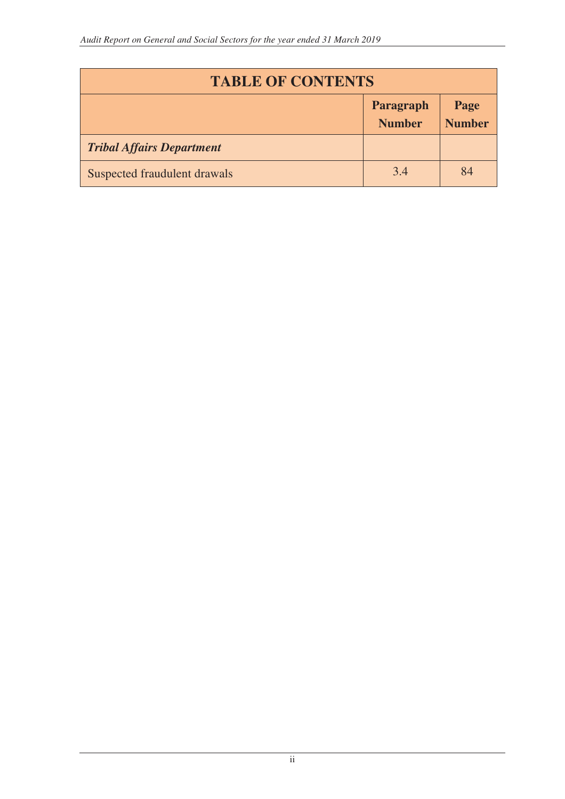| <b>TABLE OF CONTENTS</b>         |                            |                       |
|----------------------------------|----------------------------|-----------------------|
|                                  | Paragraph<br><b>Number</b> | Page<br><b>Number</b> |
| <b>Tribal Affairs Department</b> |                            |                       |
| Suspected fraudulent drawals     | 3.4                        | 84                    |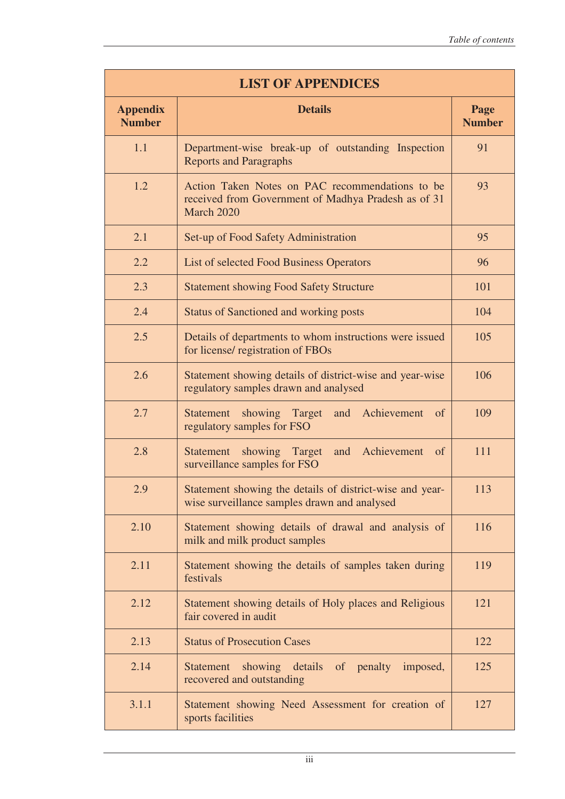| <b>LIST OF APPENDICES</b>        |                                                                                                                      |                       |  |
|----------------------------------|----------------------------------------------------------------------------------------------------------------------|-----------------------|--|
| <b>Appendix</b><br><b>Number</b> | <b>Details</b>                                                                                                       | Page<br><b>Number</b> |  |
| 1.1                              | Department-wise break-up of outstanding Inspection<br><b>Reports and Paragraphs</b>                                  | 91                    |  |
| 1.2                              | Action Taken Notes on PAC recommendations to be<br>received from Government of Madhya Pradesh as of 31<br>March 2020 | 93                    |  |
| 2.1                              | Set-up of Food Safety Administration                                                                                 | 95                    |  |
| 2.2                              | List of selected Food Business Operators                                                                             | 96                    |  |
| 2.3                              | <b>Statement showing Food Safety Structure</b>                                                                       | 101                   |  |
| 2.4                              | <b>Status of Sanctioned and working posts</b>                                                                        | 104                   |  |
| 2.5                              | Details of departments to whom instructions were issued<br>for license/ registration of FBOs                         | 105                   |  |
| 2.6                              | Statement showing details of district-wise and year-wise<br>regulatory samples drawn and analysed                    | 106                   |  |
| 2.7                              | Achievement<br>showing<br>Target<br>Statement<br>and<br>of<br>regulatory samples for FSO                             | 109                   |  |
| 2.8                              | showing Target<br>Achievement<br>Statement<br>and<br><sub>of</sub><br>surveillance samples for FSO                   | 111                   |  |
| 2.9                              | Statement showing the details of district-wise and year-<br>wise surveillance samples drawn and analysed             | 113                   |  |
| 2.10                             | Statement showing details of drawal and analysis of<br>milk and milk product samples                                 | 116                   |  |
| 2.11                             | Statement showing the details of samples taken during<br>festivals                                                   | 119                   |  |
| 2.12                             | Statement showing details of Holy places and Religious<br>fair covered in audit                                      | 121                   |  |
| 2.13                             | <b>Status of Prosecution Cases</b>                                                                                   | 122                   |  |
| 2.14                             | showing details of penalty imposed,<br>Statement<br>recovered and outstanding                                        | 125                   |  |
| 3.1.1                            | Statement showing Need Assessment for creation of<br>sports facilities                                               | 127                   |  |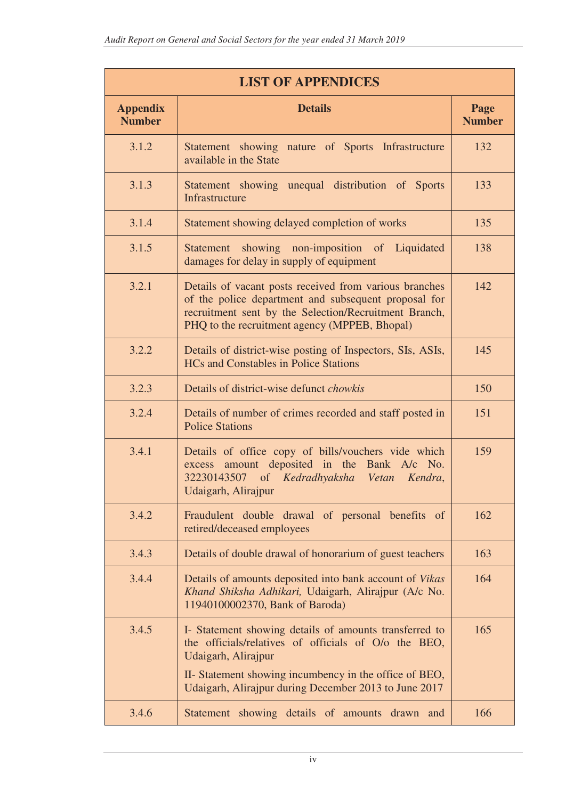| <b>LIST OF APPENDICES</b>        |                                                                                                                                                                                                                          |                       |  |
|----------------------------------|--------------------------------------------------------------------------------------------------------------------------------------------------------------------------------------------------------------------------|-----------------------|--|
| <b>Appendix</b><br><b>Number</b> | <b>Details</b>                                                                                                                                                                                                           | Page<br><b>Number</b> |  |
| 3.1.2                            | Statement showing nature of Sports Infrastructure<br>available in the State                                                                                                                                              | 132                   |  |
| 3.1.3                            | Statement showing unequal distribution of Sports<br>Infrastructure                                                                                                                                                       | 133                   |  |
| 3.1.4                            | Statement showing delayed completion of works                                                                                                                                                                            | 135                   |  |
| 3.1.5                            | Statement showing non-imposition of Liquidated<br>damages for delay in supply of equipment                                                                                                                               | 138                   |  |
| 3.2.1                            | Details of vacant posts received from various branches<br>of the police department and subsequent proposal for<br>recruitment sent by the Selection/Recruitment Branch,<br>PHQ to the recruitment agency (MPPEB, Bhopal) | 142                   |  |
| 3.2.2                            | Details of district-wise posting of Inspectors, SIs, ASIs,<br><b>HCs and Constables in Police Stations</b>                                                                                                               | 145                   |  |
| 3.2.3                            | Details of district-wise defunct <i>chowkis</i>                                                                                                                                                                          | 150                   |  |
| 3.2.4                            | Details of number of crimes recorded and staff posted in<br><b>Police Stations</b>                                                                                                                                       | 151                   |  |
| 3.4.1                            | Details of office copy of bills/vouchers vide which<br>excess amount deposited in the Bank A/c No.<br>32230143507 of Kedradhyaksha Vetan<br>Kendra,<br>Udaigarh, Alirajpur                                               | 159                   |  |
| 3.4.2                            | Fraudulent double drawal of personal benefits of<br>retired/deceased employees                                                                                                                                           | 162                   |  |
| 3.4.3                            | Details of double drawal of honorarium of guest teachers                                                                                                                                                                 | 163                   |  |
| 3.4.4                            | Details of amounts deposited into bank account of <i>Vikas</i><br>Khand Shiksha Adhikari, Udaigarh, Alirajpur (A/c No.<br>11940100002370, Bank of Baroda)                                                                | 164                   |  |
| 3.4.5                            | I- Statement showing details of amounts transferred to<br>the officials/relatives of officials of O/o the BEO,<br>Udaigarh, Alirajpur                                                                                    | 165                   |  |
|                                  | II- Statement showing incumbency in the office of BEO,<br>Udaigarh, Alirajpur during December 2013 to June 2017                                                                                                          |                       |  |
| 3.4.6                            | showing details of amounts drawn and<br>Statement                                                                                                                                                                        | 166                   |  |